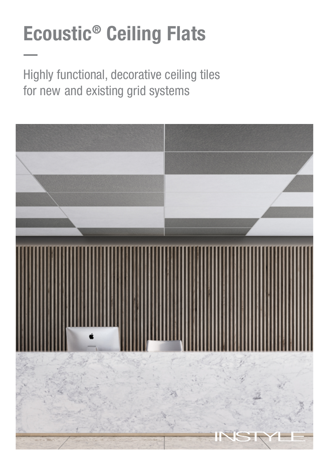# Ecoustic® Ceiling Flats

Highly functional, decorative ceiling tiles for new and existing grid systems

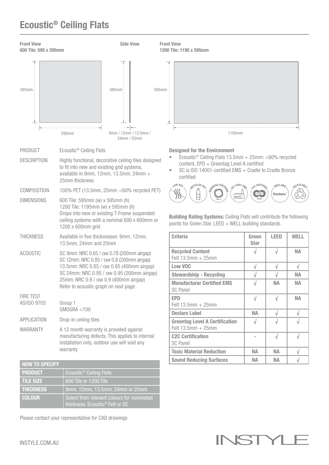## Ecoustic® Ceiling Flats



| <b>HOW TO SPECIFY</b> |                                                                                           |
|-----------------------|-------------------------------------------------------------------------------------------|
| <b>PRODUCT</b>        | Ecoustic <sup>®</sup> Ceiling Flats                                                       |
| <b>TILE SIZE</b>      | 600 Tile or 1200 Tile                                                                     |
| <b>THICKNESS</b>      | $9$ mm, 12mm, 13.5mm, 24mm or 25mm                                                        |
| <b>COLOUR</b>         | Select from relevant colours for nominated<br>thickness: Ecoustic <sup>®</sup> Felt or SC |

Please contact your representative for CAD drawings

warranty

INSTY

Toxic Material Reduction  $\parallel$  NA  $\parallel$  NA  $\parallel$   $\sqrt{}$ Sound Reducing Surfaces  $\parallel$  NA  $\parallel$  NA  $\parallel$   $\sqrt{}$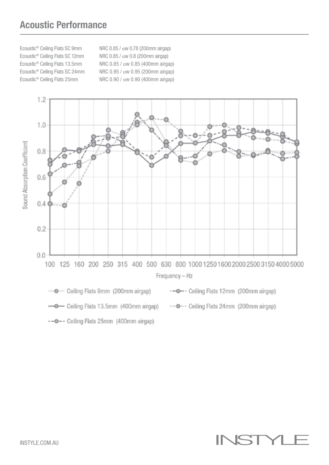### Acoustic Performance

Ecoustic® Ceiling Flats SC 9mm NRC 0.85 / αw 0.78 (200mm airgap) Ecoustic® Ceiling Flats SC 12mm NRC 0.85 / αw 0.8 (200mm airgap) Ecoustic<sup>®</sup> Ceiling Flats 13.5mm NRC 0.85 /  $\alpha$ w 0.85 (400mm airgap) Ecoustic® Ceiling Flats SC 24mm NRC 0.95 / αw 0.95 (200mm airgap) Ecoustic<sup>®</sup> Ceiling Flats 25mm NRC 0.90 /  $\alpha$ w 0.90 (400mm airgap)



-- O-- Ceiling Flats 25mm (400mm airgap)